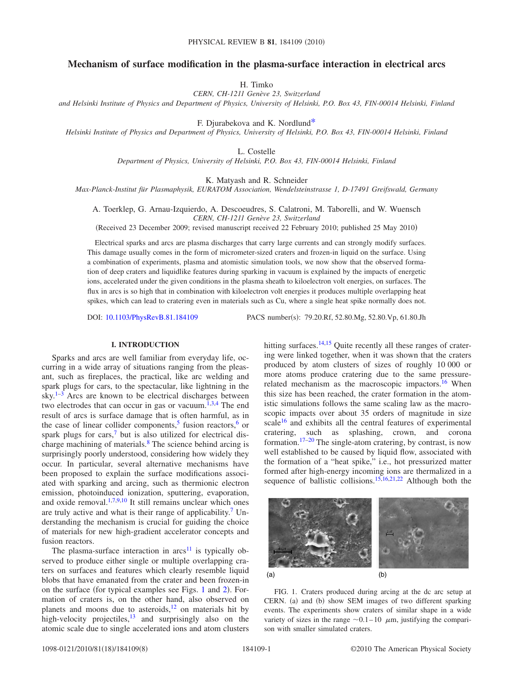# **Mechanism of surface modification in the plasma-surface interaction in electrical arcs**

H. Timko

*CERN, CH-1211 Genève 23, Switzerland*

*and Helsinki Institute of Physics and Department of Physics, University of Helsinki, P.O. Box 43, FIN-00014 Helsinki, Finland*

F. Djurabekova and K. Nordlun[d\\*](#page-6-0)

*Helsinki Institute of Physics and Department of Physics, University of Helsinki, P.O. Box 43, FIN-00014 Helsinki, Finland*

L. Costelle

*Department of Physics, University of Helsinki, P.O. Box 43, FIN-00014 Helsinki, Finland*

K. Matyash and R. Schneider

*Max-Planck-Institut für Plasmaphysik, EURATOM Association, Wendelsteinstrasse 1, D-17491 Greifswald, Germany*

A. Toerklep, G. Arnau-Izquierdo, A. Descoeudres, S. Calatroni, M. Taborelli, and W. Wuensch *CERN, CH-1211 Genève 23, Switzerland*

(Received 23 December 2009; revised manuscript received 22 February 2010; published 25 May 2010)

Electrical sparks and arcs are plasma discharges that carry large currents and can strongly modify surfaces. This damage usually comes in the form of micrometer-sized craters and frozen-in liquid on the surface. Using a combination of experiments, plasma and atomistic simulation tools, we now show that the observed formation of deep craters and liquidlike features during sparking in vacuum is explained by the impacts of energetic ions, accelerated under the given conditions in the plasma sheath to kiloelectron volt energies, on surfaces. The flux in arcs is so high that in combination with kiloelectron volt energies it produces multiple overlapping heat spikes, which can lead to cratering even in materials such as Cu, where a single heat spike normally does not.

DOI: [10.1103/PhysRevB.81.184109](http://dx.doi.org/10.1103/PhysRevB.81.184109)

PACS number(s): 79.20.Rf, 52.80.Mg, 52.80.Vp, 61.80.Jh

# **I. INTRODUCTION**

Sparks and arcs are well familiar from everyday life, occurring in a wide array of situations ranging from the pleasant, such as fireplaces, the practical, like arc welding and spark plugs for cars, to the spectacular, like lightning in the sky. $1-3$  $1-3$  Arcs are known to be electrical discharges between two electrodes that can occur in gas or vacuum. $1,3,4$  $1,3,4$  $1,3,4$  The end result of arcs is surface damage that is often harmful, as in the case of linear collider components,<sup>5</sup> fusion reactors,<sup>6</sup> or spark plugs for cars, $\frac{7}{1}$  but is also utilized for electrical discharge machining of materials.<sup>8</sup> The science behind arcing is surprisingly poorly understood, considering how widely they occur. In particular, several alternative mechanisms have been proposed to explain the surface modifications associated with sparking and arcing, such as thermionic electron emission, photoinduced ionization, sputtering, evaporation, and oxide removal. $1,7,9,10$  $1,7,9,10$  $1,7,9,10$  $1,7,9,10$  It still remains unclear which ones are truly active and what is their range of applicability.<sup>7</sup> Understanding the mechanism is crucial for guiding the choice of materials for new high-gradient accelerator concepts and fusion reactors.

The plasma-surface interaction in  $arcs$ <sup>11</sup> is typically observed to produce either single or multiple overlapping craters on surfaces and features which clearly resemble liquid blobs that have emanated from the crater and been frozen-in on the surface (for typical examples see Figs. [1](#page-0-0) and [2](#page-1-0)). Formation of craters is, on the other hand, also observed on planets and moons due to asteroids, $12$  on materials hit by high-velocity projectiles, $^{13}$  and surprisingly also on the atomic scale due to single accelerated ions and atom clusters hitting surfaces. $14,15$  $14,15$  Quite recently all these ranges of cratering were linked together, when it was shown that the craters produced by atom clusters of sizes of roughly 10 000 or more atoms produce cratering due to the same pressurerelated mechanism as the macroscopic impactors.<sup>16</sup> When this size has been reached, the crater formation in the atomistic simulations follows the same scaling law as the macroscopic impacts over about 35 orders of magnitude in size scale<sup>[16](#page-6-15)</sup> and exhibits all the central features of experimental cratering, such as splashing, crown, and corona formation[.17–](#page-7-0)[20](#page-7-1) The single-atom cratering, by contrast, is now well established to be caused by liquid flow, associated with the formation of a "heat spike," i.e., hot pressurized matter formed after high-energy incoming ions are thermalized in a sequence of ballistic collisions.<sup>15,[16,](#page-6-15)[21,](#page-7-2)[22](#page-7-3)</sup> Although both the

<span id="page-0-0"></span>

FIG. 1. Craters produced during arcing at the dc arc setup at CERN. (a) and (b) show SEM images of two different sparking events. The experiments show craters of similar shape in a wide variety of sizes in the range  $\sim 0.1-10$   $\mu$ m, justifying the comparison with smaller simulated craters.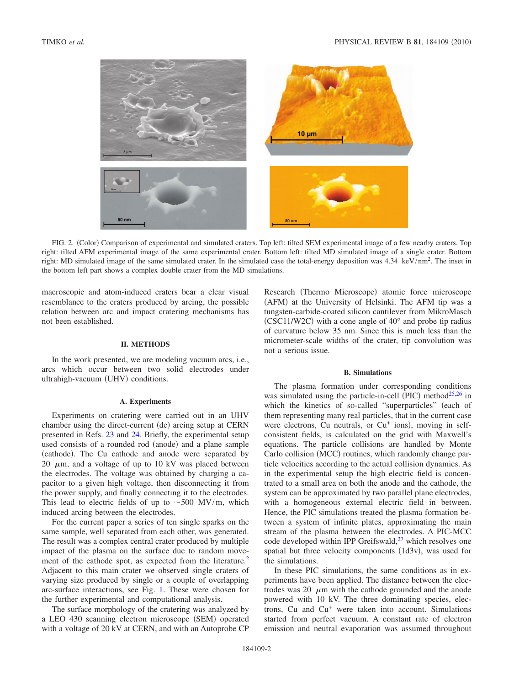<span id="page-1-0"></span>

FIG. 2. (Color) Comparison of experimental and simulated craters. Top left: tilted SEM experimental image of a few nearby craters. Top right: tilted AFM experimental image of the same experimental crater. Bottom left: tilted MD simulated image of a single crater. Bottom right: MD simulated image of the same simulated crater. In the simulated case the total-energy deposition was 4.34 keV/nm<sup>2</sup>. The inset in the bottom left part shows a complex double crater from the MD simulations.

macroscopic and atom-induced craters bear a clear visual resemblance to the craters produced by arcing, the possible relation between arc and impact cratering mechanisms has not been established.

## **II. METHODS**

In the work presented, we are modeling vacuum arcs, i.e., arcs which occur between two solid electrodes under ultrahigh-vacuum (UHV) conditions.

### **A. Experiments**

Experiments on cratering were carried out in an UHV chamber using the direct-current (dc) arcing setup at CERN presented in Refs. [23](#page-7-4) and [24.](#page-7-5) Briefly, the experimental setup used consists of a rounded rod (anode) and a plane sample (cathode). The Cu cathode and anode were separated by 20  $\mu$ m, and a voltage of up to 10 kV was placed between the electrodes. The voltage was obtained by charging a capacitor to a given high voltage, then disconnecting it from the power supply, and finally connecting it to the electrodes. This lead to electric fields of up to  $\sim$  500 MV/m, which induced arcing between the electrodes.

For the current paper a series of ten single sparks on the same sample, well separated from each other, was generated. The result was a complex central crater produced by multiple impact of the plasma on the surface due to random movement of the cathode spot, as expected from the literature.<sup>2</sup> Adjacent to this main crater we observed single craters of varying size produced by single or a couple of overlapping arc-surface interactions, see Fig. [1.](#page-0-0) These were chosen for the further experimental and computational analysis.

The surface morphology of the cratering was analyzed by a LEO 430 scanning electron microscope (SEM) operated with a voltage of 20 kV at CERN, and with an Autoprobe CP

Research (Thermo Microscope) atomic force microscope (AFM) at the University of Helsinki. The AFM tip was a tungsten-carbide-coated silicon cantilever from MikroMasch  $(CSC11/W2C)$  with a cone angle of  $40^{\circ}$  and probe tip radius of curvature below 35 nm. Since this is much less than the micrometer-scale widths of the crater, tip convolution was not a serious issue.

#### **B. Simulations**

The plasma formation under corresponding conditions was simulated using the particle-in-cell (PIC) method $25,26$  $25,26$  in which the kinetics of so-called "superparticles" (each of them representing many real particles, that in the current case were electrons, Cu neutrals, or Cu<sup>+</sup> ions), moving in selfconsistent fields, is calculated on the grid with Maxwell's equations. The particle collisions are handled by Monte Carlo collision (MCC) routines, which randomly change particle velocities according to the actual collision dynamics. As in the experimental setup the high electric field is concentrated to a small area on both the anode and the cathode, the system can be approximated by two parallel plane electrodes, with a homogeneous external electric field in between. Hence, the PIC simulations treated the plasma formation between a system of infinite plates, approximating the main stream of the plasma between the electrodes. A PIC-MCC code developed within IPP Greifswald, $27$  which resolves one spatial but three velocity components (1d3v), was used for the simulations.

In these PIC simulations, the same conditions as in experiments have been applied. The distance between the electrodes was 20  $\mu$ m with the cathode grounded and the anode powered with 10 kV. The three dominating species, electrons, Cu and Cu+ were taken into account. Simulations started from perfect vacuum. A constant rate of electron emission and neutral evaporation was assumed throughout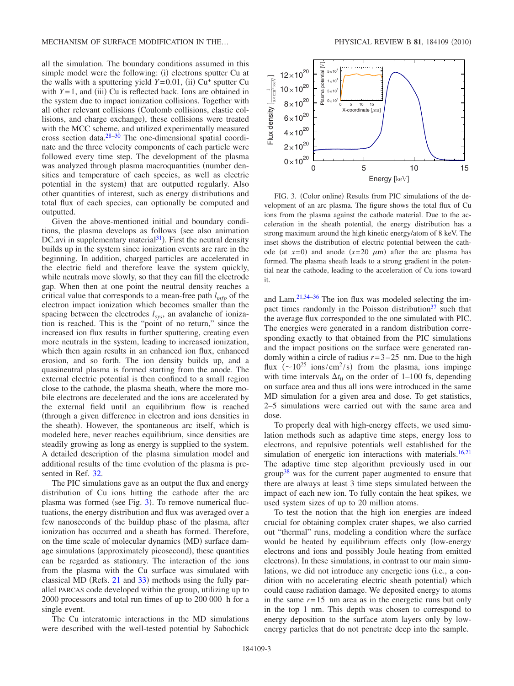all the simulation. The boundary conditions assumed in this simple model were the following: (i) electrons sputter Cu at the walls with a sputtering yield  $Y=0.01$ , (ii)  $Cu^+$  sputter Cu with  $Y=1$ , and (iii) Cu is reflected back. Ions are obtained in the system due to impact ionization collisions. Together with all other relevant collisions Coulomb collisions, elastic collisions, and charge exchange), these collisions were treated with the MCC scheme, and utilized experimentally measured cross section data[.28](#page-7-9)[–30](#page-7-10) The one-dimensional spatial coordinate and the three velocity components of each particle were followed every time step. The development of the plasma was analyzed through plasma macroquantities (number densities and temperature of each species, as well as electric potential in the system) that are outputted regularly. Also other quantities of interest, such as energy distributions and total flux of each species, can optionally be computed and outputted.

Given the above-mentioned initial and boundary conditions, the plasma develops as follows (see also animation DC.avi in supplementary material<sup>31</sup>). First the neutral density builds up in the system since ionization events are rare in the beginning. In addition, charged particles are accelerated in the electric field and therefore leave the system quickly, while neutrals move slowly, so that they can fill the electrode gap. When then at one point the neutral density reaches a critical value that corresponds to a mean-free path  $l_{mfp}$  of the electron impact ionization which becomes smaller than the spacing between the electrodes  $l_{sys}$ , an avalanche of ionization is reached. This is the "point of no return," since the increased ion flux results in further sputtering, creating even more neutrals in the system, leading to increased ionization, which then again results in an enhanced ion flux, enhanced erosion, and so forth. The ion density builds up, and a quasineutral plasma is formed starting from the anode. The external electric potential is then confined to a small region close to the cathode, the plasma sheath, where the more mobile electrons are decelerated and the ions are accelerated by the external field until an equilibrium flow is reached through a given difference in electron and ions densities in the sheath). However, the spontaneous arc itself, which is modeled here, never reaches equilibrium, since densities are steadily growing as long as energy is supplied to the system. A detailed description of the plasma simulation model and additional results of the time evolution of the plasma is presented in Ref. [32.](#page-7-12)

The PIC simulations gave as an output the flux and energy distribution of Cu ions hitting the cathode after the arc plasma was formed (see Fig. [3](#page-2-0)). To remove numerical fluctuations, the energy distribution and flux was averaged over a few nanoseconds of the buildup phase of the plasma, after ionization has occurred and a sheath has formed. Therefore, on the time scale of molecular dynamics (MD) surface damage simulations (approximately picosecond), these quantities can be regarded as stationary. The interaction of the ions from the plasma with the Cu surface was simulated with classical MD (Refs.  $21$  and  $33$ ) methods using the fully parallel PARCAS code developed within the group, utilizing up to 2000 processors and total run times of up to 200 000 h for a single event.

The Cu interatomic interactions in the MD simulations were described with the well-tested potential by Sabochick

<span id="page-2-0"></span>

FIG. 3. (Color online) Results from PIC simulations of the development of an arc plasma. The figure shows the total flux of Cu ions from the plasma against the cathode material. Due to the acceleration in the sheath potential, the energy distribution has a strong maximum around the high kinetic energy/atom of 8 keV. The inset shows the distribution of electric potential between the cathode (at  $x=0$ ) and anode  $(x=20 \mu m)$  after the arc plasma has formed. The plasma sheath leads to a strong gradient in the potential near the cathode, leading to the acceleration of Cu ions toward it.

and Lam[.21](#page-7-2)[,34](#page-7-14)[–36](#page-7-15) The ion flux was modeled selecting the impact times randomly in the Poisson distribution $37$  such that the average flux corresponded to the one simulated with PIC. The energies were generated in a random distribution corresponding exactly to that obtained from the PIC simulations and the impact positions on the surface were generated randomly within a circle of radius  $r = 3 - 25$  nm. Due to the high flux  $({\sim}10^{25}$  ions/cm<sup>2</sup>/s) from the plasma, ions impinge with time intervals  $\Delta t_0$  on the order of 1–100 fs, depending on surface area and thus all ions were introduced in the same MD simulation for a given area and dose. To get statistics, 2–5 simulations were carried out with the same area and dose.

To properly deal with high-energy effects, we used simulation methods such as adaptive time steps, energy loss to electrons, and repulsive potentials well established for the simulation of energetic ion interactions with materials.<sup>16[,21](#page-7-2)</sup> The adaptive time step algorithm previously used in our  $group<sup>38</sup>$  was for the current paper augmented to ensure that there are always at least 3 time steps simulated between the impact of each new ion. To fully contain the heat spikes, we used system sizes of up to 20 million atoms.

To test the notion that the high ion energies are indeed crucial for obtaining complex crater shapes, we also carried out "thermal" runs, modeling a condition where the surface would be heated by equilibrium effects only (low-energy electrons and ions and possibly Joule heating from emitted electrons). In these simulations, in contrast to our main simulations, we did not introduce any energetic ions (i.e., a condition with no accelerating electric sheath potential) which could cause radiation damage. We deposited energy to atoms in the same  $r=15$  nm area as in the energetic runs but only in the top 1 nm. This depth was chosen to correspond to energy deposition to the surface atom layers only by lowenergy particles that do not penetrate deep into the sample.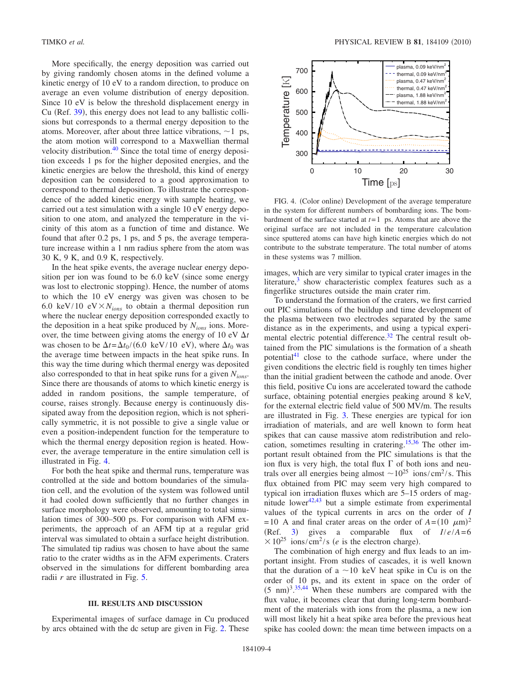More specifically, the energy deposition was carried out by giving randomly chosen atoms in the defined volume a kinetic energy of 10 eV to a random direction, to produce on average an even volume distribution of energy deposition. Since 10 eV is below the threshold displacement energy in Cu (Ref. [39](#page-7-18)), this energy does not lead to any ballistic collisions but corresponds to a thermal energy deposition to the atoms. Moreover, after about three lattice vibrations,  $\sim$  1 ps, the atom motion will correspond to a Maxwellian thermal velocity distribution[.40](#page-7-19) Since the total time of energy deposition exceeds 1 ps for the higher deposited energies, and the kinetic energies are below the threshold, this kind of energy deposition can be considered to a good approximation to correspond to thermal deposition. To illustrate the correspondence of the added kinetic energy with sample heating, we carried out a test simulation with a single 10 eV energy deposition to one atom, and analyzed the temperature in the vicinity of this atom as a function of time and distance. We found that after 0.2 ps, 1 ps, and 5 ps, the average temperature increase within a 1 nm radius sphere from the atom was 30 K, 9 K, and 0.9 K, respectively.

In the heat spike events, the average nuclear energy deposition per ion was found to be  $6.0 \text{ keV}$  (since some energy was lost to electronic stopping). Hence, the number of atoms to which the 10 eV energy was given was chosen to be 6.0 keV/10 eV $\times$ N<sub>ions</sub> to obtain a thermal deposition run where the nuclear energy deposition corresponded exactly to the deposition in a heat spike produced by *Nions* ions. Moreover, the time between giving atoms the energy of 10 eV  $\Delta t$ was chosen to be  $\Delta t = \Delta t_0 / (6.0 \text{ keV}/10 \text{ eV})$ , where  $\Delta t_0$  was the average time between impacts in the heat spike runs. In this way the time during which thermal energy was deposited also corresponded to that in heat spike runs for a given *Nions*. Since there are thousands of atoms to which kinetic energy is added in random positions, the sample temperature, of course, raises strongly. Because energy is continuously dissipated away from the deposition region, which is not spherically symmetric, it is not possible to give a single value or even a position-independent function for the temperature to which the thermal energy deposition region is heated. However, the average temperature in the entire simulation cell is illustrated in Fig. [4.](#page-3-0)

For both the heat spike and thermal runs, temperature was controlled at the side and bottom boundaries of the simulation cell, and the evolution of the system was followed until it had cooled down sufficiently that no further changes in surface morphology were observed, amounting to total simulation times of 300–500 ps. For comparison with AFM experiments, the approach of an AFM tip at a regular grid interval was simulated to obtain a surface height distribution. The simulated tip radius was chosen to have about the same ratio to the crater widths as in the AFM experiments. Craters observed in the simulations for different bombarding area radii *r* are illustrated in Fig. [5.](#page-4-0)

# **III. RESULTS AND DISCUSSION**

Experimental images of surface damage in Cu produced by arcs obtained with the dc setup are given in Fig. [2.](#page-1-0) These

<span id="page-3-0"></span>

FIG. 4. (Color online) Development of the average temperature in the system for different numbers of bombarding ions. The bombardment of the surface started at  $t=1$  ps. Atoms that are above the original surface are not included in the temperature calculation since sputtered atoms can have high kinetic energies which do not contribute to the substrate temperature. The total number of atoms in these systems was 7 million.

images, which are very similar to typical crater images in the literature, $3 \text{ show characteristic complex features such as a}$ fingerlike structures outside the main crater rim.

To understand the formation of the craters, we first carried out PIC simulations of the buildup and time development of the plasma between two electrodes separated by the same distance as in the experiments, and using a typical experimental electric potential difference.<sup>32</sup> The central result obtained from the PIC simulations is the formation of a sheath potential<sup>41</sup> close to the cathode surface, where under the given conditions the electric field is roughly ten times higher than the initial gradient between the cathode and anode. Over this field, positive Cu ions are accelerated toward the cathode surface, obtaining potential energies peaking around 8 keV, for the external electric field value of 500 MV/m. The results are illustrated in Fig. [3.](#page-2-0) These energies are typical for ion irradiation of materials, and are well known to form heat spikes that can cause massive atom redistribution and relocation, sometimes resulting in cratering[.15](#page-6-14)[,36](#page-7-15) The other important result obtained from the PIC simulations is that the ion flux is very high, the total flux  $\Gamma$  of both ions and neutrals over all energies being almost  $\sim 10^{25}$  ions/cm<sup>2</sup>/s. This flux obtained from PIC may seem very high compared to typical ion irradiation fluxes which are 5–15 orders of magnitude lower $42,43$  $42,43$  but a simple estimate from experimental values of the typical currents in arcs on the order of *I*  $= 10$  A and final crater areas on the order of  $A = (10 \mu m)^2$  $(Ref. 3)$  $(Ref. 3)$  $(Ref. 3)$  gives a comparable flux of  $I/e/A = 6$  $\times 10^{25}$  ions/cm<sup>2</sup>/s (*e* is the electron charge).

The combination of high energy and flux leads to an important insight. From studies of cascades, it is well known that the duration of a  $\sim$ 10 keV heat spike in Cu is on the order of 10 ps, and its extent in space on the order of  $(5 \text{ nm})^{3.35,44}$  $(5 \text{ nm})^{3.35,44}$  $(5 \text{ nm})^{3.35,44}$  $(5 \text{ nm})^{3.35,44}$  When these numbers are compared with the flux value, it becomes clear that during long-term bombardment of the materials with ions from the plasma, a new ion will most likely hit a heat spike area before the previous heat spike has cooled down: the mean time between impacts on a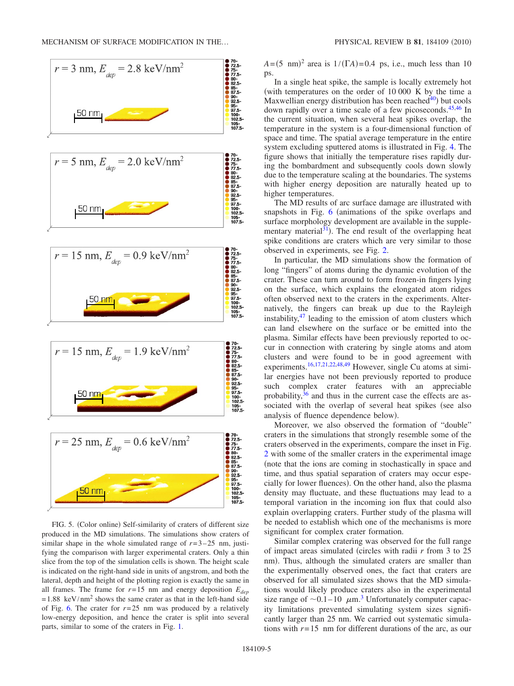<span id="page-4-0"></span>

FIG. 5. (Color online) Self-similarity of craters of different size produced in the MD simulations. The simulations show craters of similar shape in the whole simulated range of  $r = 3 - 25$  nm, justifying the comparison with larger experimental craters. Only a thin slice from the top of the simulation cells is shown. The height scale is indicated on the right-hand side in units of angstrom, and both the lateral, depth and height of the plotting region is exactly the same in all frames. The frame for  $r=15$  nm and energy deposition  $E_{den}$  $= 1.88 \text{ keV/nm}^2$  shows the same crater as that in the left-hand side of Fig. [6.](#page-5-0) The crater for  $r=25$  nm was produced by a relatively low-energy deposition, and hence the crater is split into several parts, similar to some of the craters in Fig. [1.](#page-0-0)

 $A = (5 \text{ nm})^2$  area is  $1/(\Gamma A) = 0.4 \text{ ps}$ , i.e., much less than 10 ps.

In a single heat spike, the sample is locally extremely hot with temperatures on the order of 10 000 K by the time a Maxwellian energy distribution has been reached<sup>40</sup>) but cools down rapidly over a time scale of a few picoseconds[.45,](#page-7-25)[46](#page-7-26) In the current situation, when several heat spikes overlap, the temperature in the system is a four-dimensional function of space and time. The spatial average temperature in the entire system excluding sputtered atoms is illustrated in Fig. [4.](#page-3-0) The figure shows that initially the temperature rises rapidly during the bombardment and subsequently cools down slowly due to the temperature scaling at the boundaries. The systems with higher energy deposition are naturally heated up to higher temperatures.

The MD results of arc surface damage are illustrated with snapshots in Fig.  $6$  (animations of the spike overlaps and surface morphology development are available in the supplementary material<sup>31</sup>). The end result of the overlapping heat spike conditions are craters which are very similar to those observed in experiments, see Fig. [2.](#page-1-0)

In particular, the MD simulations show the formation of long "fingers" of atoms during the dynamic evolution of the crater. These can turn around to form frozen-in fingers lying on the surface, which explains the elongated atom ridges often observed next to the craters in the experiments. Alternatively, the fingers can break up due to the Rayleigh instability, $47$  leading to the emission of atom clusters which can land elsewhere on the surface or be emitted into the plasma. Similar effects have been previously reported to occur in connection with cratering by single atoms and atom clusters and were found to be in good agreement with experiments[.16](#page-6-15)[,17,](#page-7-0)[21,](#page-7-2)[22](#page-7-3)[,48,](#page-7-28)[49](#page-7-29) However, single Cu atoms at similar energies have not been previously reported to produce such complex crater features with an appreciable probability,  $36$  and thus in the current case the effects are associated with the overlap of several heat spikes (see also analysis of fluence dependence below).

Moreover, we also observed the formation of "double" craters in the simulations that strongly resemble some of the craters observed in the experiments, compare the inset in Fig. [2](#page-1-0) with some of the smaller craters in the experimental image note that the ions are coming in stochastically in space and time, and thus spatial separation of craters may occur especially for lower fluences). On the other hand, also the plasma density may fluctuate, and these fluctuations may lead to a temporal variation in the incoming ion flux that could also explain overlapping craters. Further study of the plasma will be needed to establish which one of the mechanisms is more significant for complex crater formation.

Similar complex cratering was observed for the full range of impact areas simulated circles with radii *r* from 3 to 25 nm). Thus, although the simulated craters are smaller than the experimentally observed ones, the fact that craters are observed for all simulated sizes shows that the MD simulations would likely produce craters also in the experimental size range of  $\sim 0.1-10$   $\mu$ m.<sup>[3](#page-6-2)</sup> Unfortunately computer capacity limitations prevented simulating system sizes significantly larger than 25 nm. We carried out systematic simulations with  $r=15$  nm for different durations of the arc, as our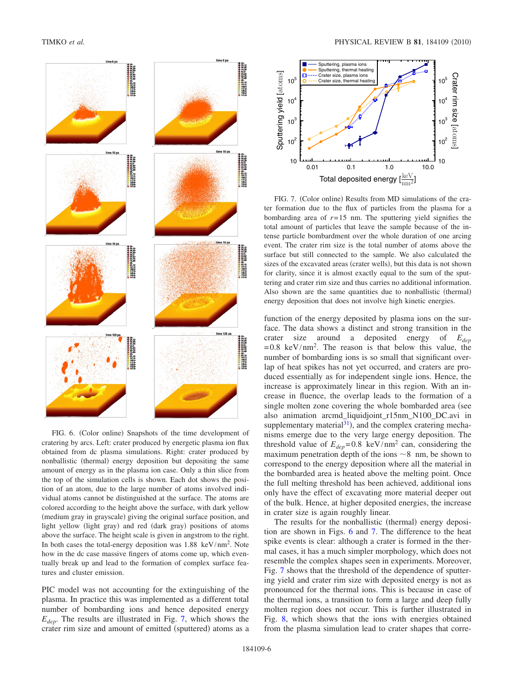<span id="page-5-0"></span>

FIG. 6. (Color online) Snapshots of the time development of cratering by arcs. Left: crater produced by energetic plasma ion flux obtained from dc plasma simulations. Right: crater produced by nonballistic (thermal) energy deposition but depositing the same amount of energy as in the plasma ion case. Only a thin slice from the top of the simulation cells is shown. Each dot shows the position of an atom, due to the large number of atoms involved individual atoms cannot be distinguished at the surface. The atoms are colored according to the height above the surface, with dark yellow (medium gray in grayscale) giving the original surface position, and light yellow (light gray) and red (dark gray) positions of atoms above the surface. The height scale is given in angstrom to the right. In both cases the total-energy deposition was 1.88 keV/nm2. Note how in the dc case massive fingers of atoms come up, which eventually break up and lead to the formation of complex surface features and cluster emission.

PIC model was not accounting for the extinguishing of the plasma. In practice this was implemented as a different total number of bombarding ions and hence deposited energy *Edep*. The results are illustrated in Fig. [7,](#page-5-1) which shows the crater rim size and amount of emitted (sputtered) atoms as a

<span id="page-5-1"></span>

FIG. 7. (Color online) Results from MD simulations of the crater formation due to the flux of particles from the plasma for a bombarding area of  $r=15$  nm. The sputtering yield signifies the total amount of particles that leave the sample because of the intense particle bombardment over the whole duration of one arcing event. The crater rim size is the total number of atoms above the surface but still connected to the sample. We also calculated the sizes of the excavated areas (crater wells), but this data is not shown for clarity, since it is almost exactly equal to the sum of the sputtering and crater rim size and thus carries no additional information. Also shown are the same quantities due to nonballistic (thermal) energy deposition that does not involve high kinetic energies.

function of the energy deposited by plasma ions on the surface. The data shows a distinct and strong transition in the crater size around a deposited energy of *Edep*  $= 0.8 \text{ keV/nm}^2$ . The reason is that below this value, the number of bombarding ions is so small that significant overlap of heat spikes has not yet occurred, and craters are produced essentially as for independent single ions. Hence, the increase is approximately linear in this region. With an increase in fluence, the overlap leads to the formation of a single molten zone covering the whole bombarded area (see also animation arcmd\_liquidjoint\_r15nm\_N100\_DC.avi in supplementary material $31$ , and the complex cratering mechanisms emerge due to the very large energy deposition. The threshold value of  $E_{dep}$ =0.8 keV/nm<sup>2</sup> can, considering the maximum penetration depth of the ions  $\sim$  8 nm, be shown to correspond to the energy deposition where all the material in the bombarded area is heated above the melting point. Once the full melting threshold has been achieved, additional ions only have the effect of excavating more material deeper out of the bulk. Hence, at higher deposited energies, the increase in crater size is again roughly linear.

The results for the nonballistic (thermal) energy deposition are shown in Figs. [6](#page-5-0) and [7.](#page-5-1) The difference to the heat spike events is clear: although a crater is formed in the thermal cases, it has a much simpler morphology, which does not resemble the complex shapes seen in experiments. Moreover, Fig. [7](#page-5-1) shows that the threshold of the dependence of sputtering yield and crater rim size with deposited energy is not as pronounced for the thermal ions. This is because in case of the thermal ions, a transition to form a large and deep fully molten region does not occur. This is further illustrated in Fig. [8,](#page-6-17) which shows that the ions with energies obtained from the plasma simulation lead to crater shapes that corre-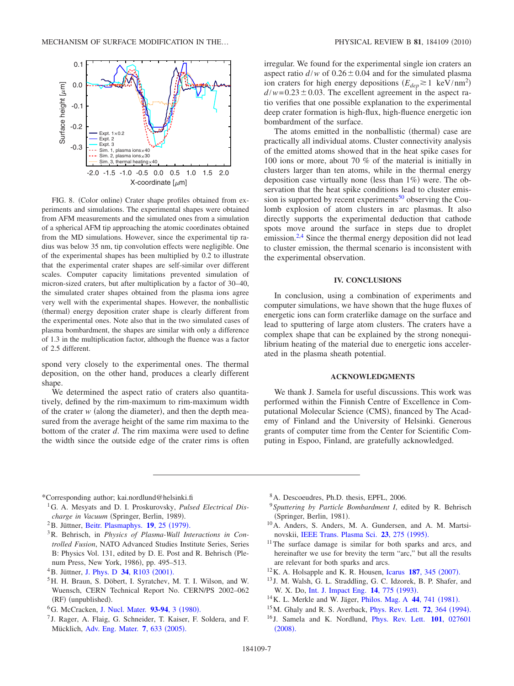<span id="page-6-17"></span>

FIG. 8. (Color online) Crater shape profiles obtained from experiments and simulations. The experimental shapes were obtained from AFM measurements and the simulated ones from a simulation of a spherical AFM tip approaching the atomic coordinates obtained from the MD simulations. However, since the experimental tip radius was below 35 nm, tip convolution effects were negligible. One of the experimental shapes has been multiplied by 0.2 to illustrate that the experimental crater shapes are self-similar over different scales. Computer capacity limitations prevented simulation of micron-sized craters, but after multiplication by a factor of 30–40, the simulated crater shapes obtained from the plasma ions agree very well with the experimental shapes. However, the nonballistic (thermal) energy deposition crater shape is clearly different from the experimental ones. Note also that in the two simulated cases of plasma bombardment, the shapes are similar with only a difference of 1.3 in the multiplication factor, although the fluence was a factor of 2.5 different.

spond very closely to the experimental ones. The thermal deposition, on the other hand, produces a clearly different shape.

We determined the aspect ratio of craters also quantitatively, defined by the rim-maximum to rim-maximum width of the crater  $w$  (along the diameter), and then the depth measured from the average height of the same rim maxima to the bottom of the crater *d*. The rim maxima were used to define the width since the outside edge of the crater rims is often irregular. We found for the experimental single ion craters an aspect ratio  $d/w$  of  $0.26 \pm 0.04$  and for the simulated plasma ion craters for high energy depositions  $(E_{dep} \gtrsim 1 \text{ keV/nm}^2)$  $d/w = 0.23 \pm 0.03$ . The excellent agreement in the aspect ratio verifies that one possible explanation to the experimental deep crater formation is high-flux, high-fluence energetic ion bombardment of the surface.

The atoms emitted in the nonballistic (thermal) case are practically all individual atoms. Cluster connectivity analysis of the emitted atoms showed that in the heat spike cases for 100 ions or more, about 70 % of the material is initially in clusters larger than ten atoms, while in the thermal energy deposition case virtually none (less than  $1\%$ ) were. The observation that the heat spike conditions lead to cluster emission is supported by recent experiments<sup>50</sup> observing the Coulomb explosion of atom clusters in arc plasmas. It also directly supports the experimental deduction that cathode spots move around the surface in steps due to droplet emission.<sup>2[,4](#page-6-3)</sup> Since the thermal energy deposition did not lead to cluster emission, the thermal scenario is inconsistent with the experimental observation.

### **IV. CONCLUSIONS**

In conclusion, using a combination of experiments and computer simulations, we have shown that the huge fluxes of energetic ions can form craterlike damage on the surface and lead to sputtering of large atom clusters. The craters have a complex shape that can be explained by the strong nonequilibrium heating of the material due to energetic ions accelerated in the plasma sheath potential.

# **ACKNOWLEDGMENTS**

We thank J. Samela for useful discussions. This work was performed within the Finnish Centre of Excellence in Computational Molecular Science (CMS), financed by The Academy of Finland and the University of Helsinki. Generous grants of computer time from the Center for Scientific Computing in Espoo, Finland, are gratefully acknowledged.

- <span id="page-6-0"></span>\*Corresponding author; kai.nordlund@helsinki.fi
- <span id="page-6-1"></span>1G. A. Mesyats and D. I. Proskurovsky, *Pulsed Electrical Dis*charge in Vacuum (Springer, Berlin, 1989).
- <span id="page-6-16"></span><sup>2</sup>B. Jüttner, [Beitr. Plasmaphys.](http://dx.doi.org/10.1002/ctpp.19790190104) **19**, 25 (1979).
- <span id="page-6-2"></span>3R. Behrisch, in *Physics of Plasma-Wall Interactions in Controlled Fusion*, NATO Advanced Studies Institute Series, Series B: Physics Vol. 131, edited by D. E. Post and R. Behrisch (Plenum Press, New York, 1986), pp. 495–513.
- <span id="page-6-3"></span><sup>4</sup> B. Jüttner, [J. Phys. D](http://dx.doi.org/10.1088/0022-3727/34/17/202) **34**, R103 (2001).
- <span id="page-6-4"></span>5H. H. Braun, S. Döbert, I. Syratchev, M. T. I. Wilson, and W. Wuensch, CERN Technical Report No. CERN/PS 2002–062 (RF) (unpublished).
- <span id="page-6-5"></span><sup>6</sup>G. McCracken, [J. Nucl. Mater.](http://dx.doi.org/10.1016/0022-3115(80)90299-8) **93-94**, 3 (1980).
- <span id="page-6-6"></span><sup>7</sup> J. Rager, A. Flaig, G. Schneider, T. Kaiser, F. Soldera, and F. Mücklich, [Adv. Eng. Mater.](http://dx.doi.org/10.1002/adem.200500025) 7, 633 (2005).
- <span id="page-6-7"></span>8A. Descoeudres, Ph.D. thesis, EPFL, 2006.
- <span id="page-6-8"></span><sup>9</sup> *Sputtering by Particle Bombardment I*, edited by R. Behrisch (Springer, Berlin, 1981).
- <span id="page-6-9"></span>10A. Anders, S. Anders, M. A. Gundersen, and A. M. Martsi-novskii, [IEEE Trans. Plasma Sci.](http://dx.doi.org/10.1109/27.402313) 23, 275 (1995).
- <span id="page-6-10"></span> $11$ The surface damage is similar for both sparks and arcs, and hereinafter we use for brevity the term "arc," but all the results are relevant for both sparks and arcs.
- <span id="page-6-11"></span> $12$  K. A. Holsapple and K. R. Housen, [Icarus](http://dx.doi.org/10.1016/j.icarus.2006.08.029) 187, 345 (2007).
- <span id="page-6-12"></span><sup>13</sup> J. M. Walsh, G. L. Straddling, G. C. Idzorek, B. P. Shafer, and W. X. Do, [Int. J. Impact Eng.](http://dx.doi.org/10.1016/0734-743X(93)90071-E) **14**, 775 (1993).
- <span id="page-6-13"></span><sup>14</sup> K. L. Merkle and W. Jäger, *[Philos. Mag. A](http://dx.doi.org/10.1080/01418618108239546)* **44**, 741 (1981).
- <span id="page-6-14"></span><sup>15</sup>M. Ghaly and R. S. Averback, *[Phys. Rev. Lett.](http://dx.doi.org/10.1103/PhysRevLett.72.364)* **72**, 364 (1994).
- <span id="page-6-15"></span><sup>16</sup> J. Samela and K. Nordlund, [Phys. Rev. Lett.](http://dx.doi.org/10.1103/PhysRevLett.101.027601) **101**, 027601  $(2008).$  $(2008).$  $(2008).$